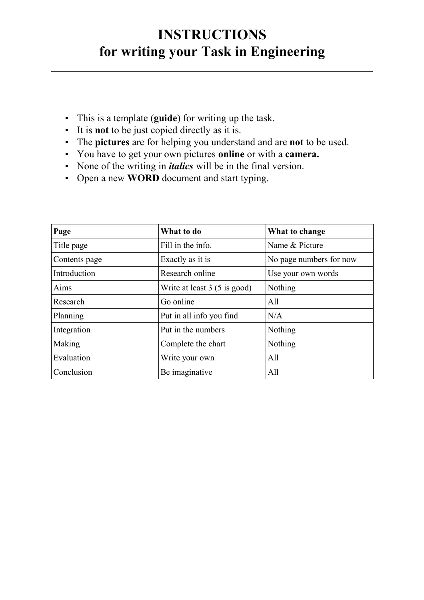## **INSTRUCTIONS for writing your Task in Engineering**

- This is a template (**guide**) for writing up the task.
- It is **not** to be just copied directly as it is.
- The **pictures** are for helping you understand and are **not** to be used.
- You have to get your own pictures **online** or with a **camera.**
- None of the writing in *italics* will be in the final version.
- Open a new **WORD** document and start typing.

| Page          | What to do<br>What to change |                         |  |
|---------------|------------------------------|-------------------------|--|
| Title page    | Fill in the info.            | Name & Picture          |  |
| Contents page | Exactly as it is             | No page numbers for now |  |
| Introduction  | Research online              | Use your own words      |  |
| Aims          | Write at least 3 (5 is good) | Nothing                 |  |
| Research      | Go online                    | All                     |  |
| Planning      | Put in all info you find     | N/A                     |  |
| Integration   | Put in the numbers           | Nothing                 |  |
| Making        | Complete the chart           | Nothing                 |  |
| Evaluation    | Write your own               | All                     |  |
| Conclusion    | Be imaginative               | All                     |  |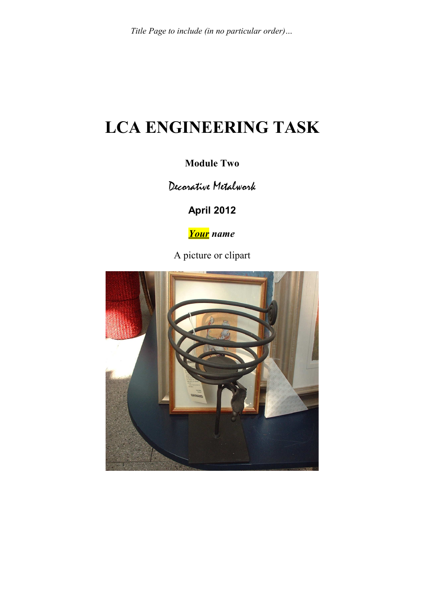# **LCA ENGINEERING TASK**

### **Module Two**

Decorative Metalwork

**April 2012**

*Your name*

A picture or clipart

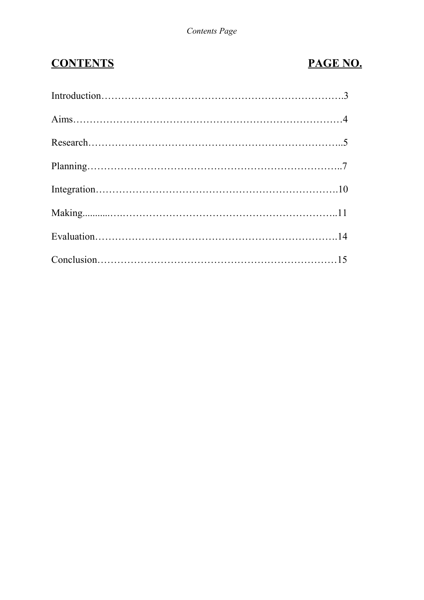## **CONTENTS PAGE NO.**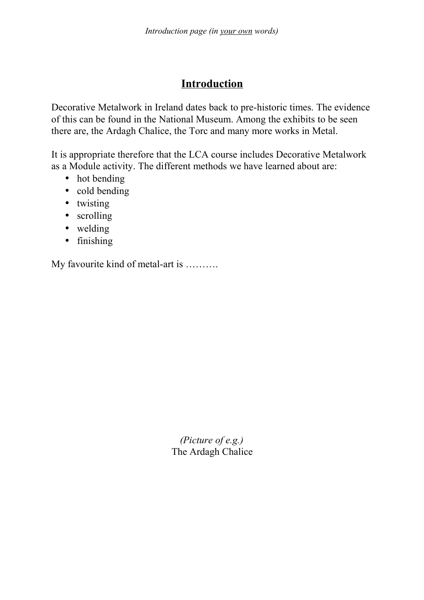## **Introduction**

Decorative Metalwork in Ireland dates back to pre-historic times. The evidence of this can be found in the National Museum. Among the exhibits to be seen there are, the Ardagh Chalice, the Torc and many more works in Metal.

It is appropriate therefore that the LCA course includes Decorative Metalwork as a Module activity. The different methods we have learned about are:

- hot bending
- cold bending
- twisting
- scrolling
- welding
- finishing

My favourite kind of metal-art is ……….

*(Picture of e.g.)* The Ardagh Chalice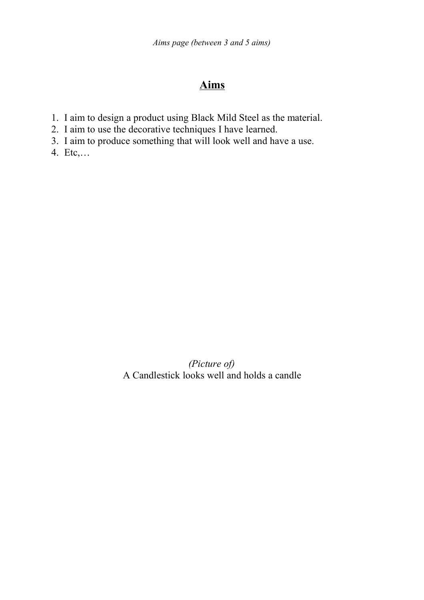## **Aims**

- 1. I aim to design a product using Black Mild Steel as the material.
- 2. I aim to use the decorative techniques I have learned.
- 3. I aim to produce something that will look well and have a use.
- 4. Etc,…

*(Picture of)* A Candlestick looks well and holds a candle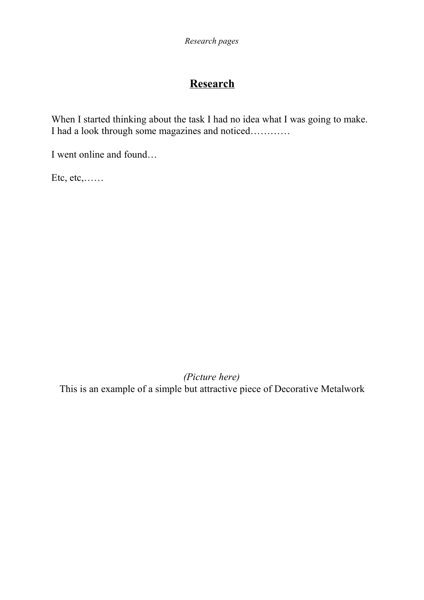## **Research**

When I started thinking about the task I had no idea what I was going to make. I had a look through some magazines and noticed…………

I went online and found…

Etc, etc,……

*(Picture here)* This is an example of a simple but attractive piece of Decorative Metalwork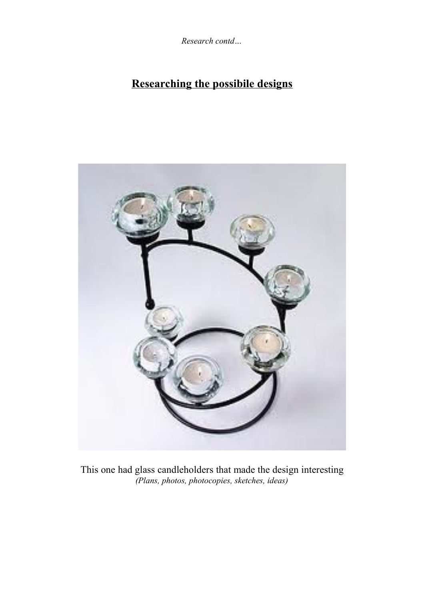*Research contd…*

## **Researching the possibile designs**



This one had glass candleholders that made the design interesting *(Plans, photos, photocopies, sketches, ideas)*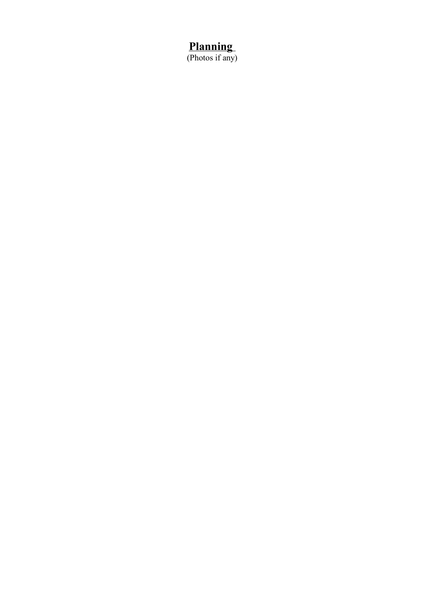## **Planning**

(Photos if any)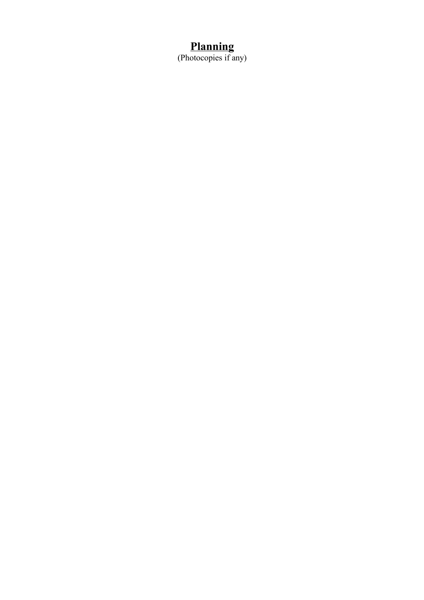### **Planning**

(Photocopies if any)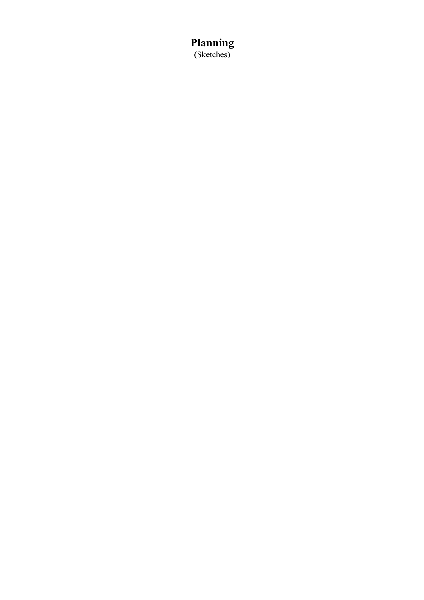**Planning** (Sketches)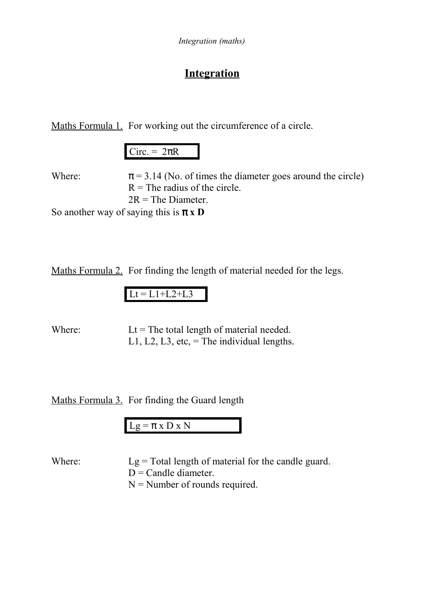## **Integration**

Maths Formula 1. For working out the circumference of a circle.

|--|

Where:  $\pi = 3.14$  (No. of times the diameter goes around the circle)  $R$  = The radius of the circle.  $2R$  = The Diameter.

So another way of saying this is  $\pi \times D$ 

Maths Formula 2. For finding the length of material needed for the legs.

Where:  $Lt = The total length of material needed.$ L1, L2, L3, etc,  $=$  The individual lengths.

Maths Formula 3. For finding the Guard length

 $Lg = \pi x D x N$ 

Where: Lg = Total length of material for the candle guard.  $D =$ Candle diameter.  $N =$  Number of rounds required.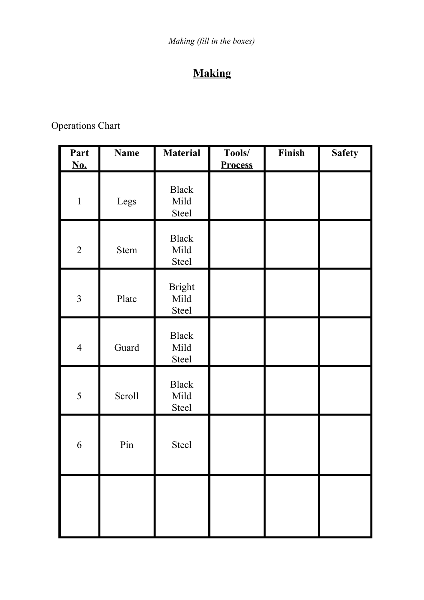## **Making**

Operations Chart

| <b>Part</b><br>$\underline{\underline{No}}$ . | <b>Name</b> | <b>Material</b>                      | Tools/<br><b>Process</b> | <b>Finish</b> | <b>Safety</b> |
|-----------------------------------------------|-------------|--------------------------------------|--------------------------|---------------|---------------|
| $\mathbf{1}$                                  | Legs        | <b>Black</b><br>Mild<br>Steel        |                          |               |               |
| $\overline{2}$                                | <b>Stem</b> | <b>Black</b><br>Mild<br><b>Steel</b> |                          |               |               |
| $\overline{3}$                                | Plate       | <b>Bright</b><br>Mild<br>Steel       |                          |               |               |
| $\overline{4}$                                | Guard       | <b>Black</b><br>Mild<br><b>Steel</b> |                          |               |               |
| 5                                             | Scroll      | <b>Black</b><br>Mild<br>Steel        |                          |               |               |
| 6                                             | Pin         | Steel                                |                          |               |               |
|                                               |             |                                      |                          |               |               |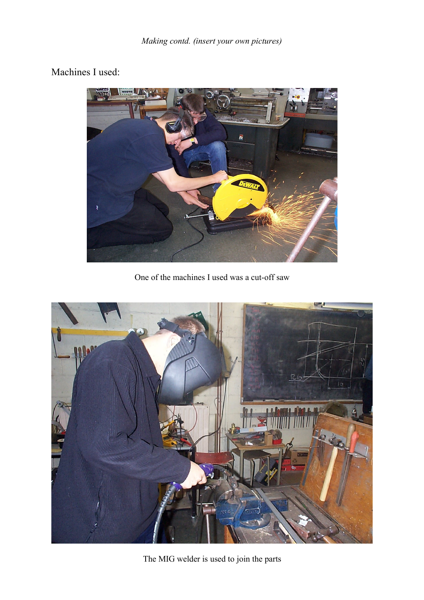### Machines I used:



One of the machines I used was a cut-off saw



The MIG welder is used to join the parts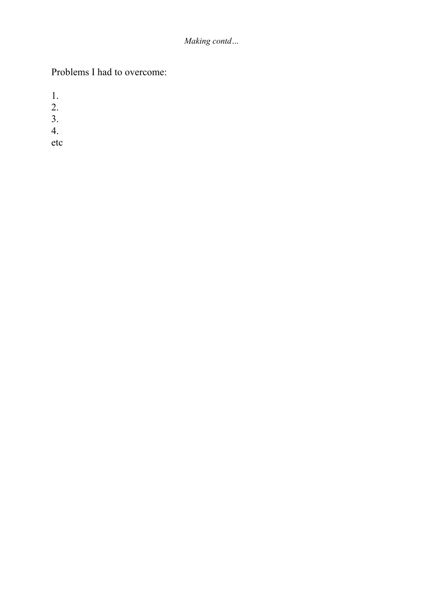### *Making contd…*

## Problems I had to overcome:

1.

- 2.
- 3.
- 4.

etc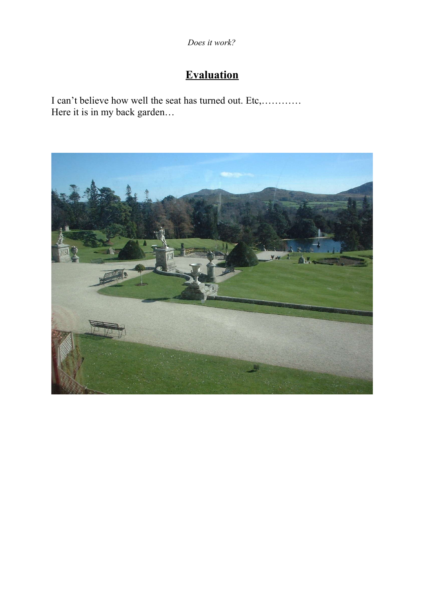*Does it work?*

## **Evaluation**

I can't believe how well the seat has turned out. Etc,………… Here it is in my back garden...